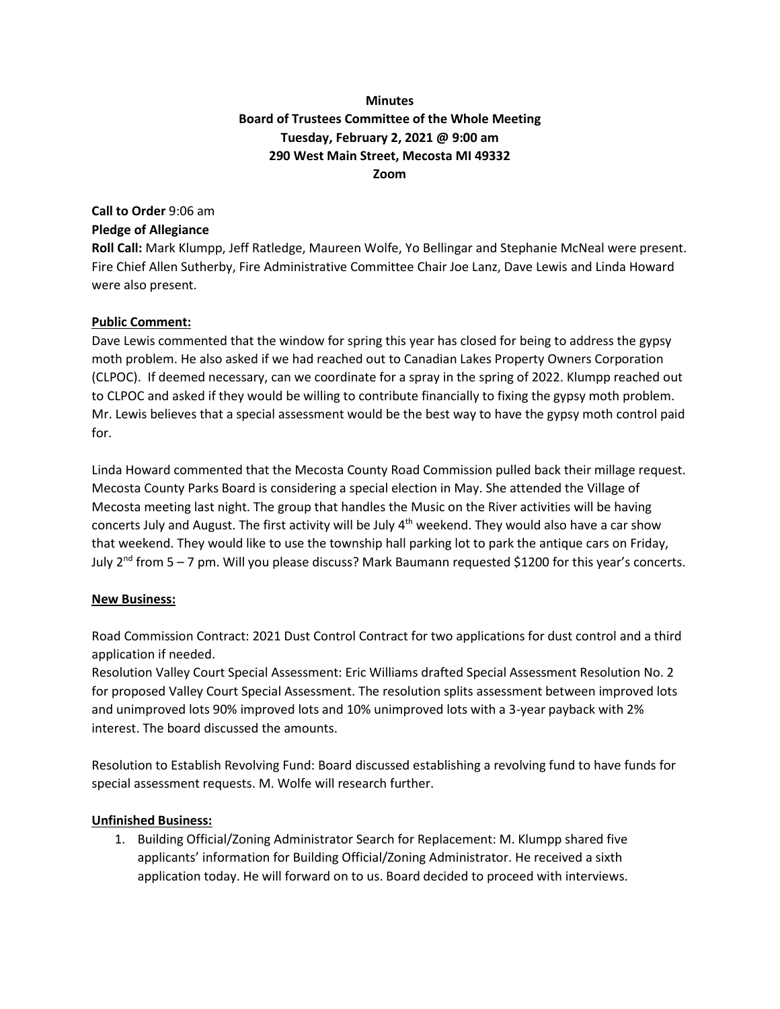## **Minutes Board of Trustees Committee of the Whole Meeting Tuesday, February 2, 2021 @ 9:00 am 290 West Main Street, Mecosta MI 49332 Zoom**

# **Call to Order** 9:06 am **Pledge of Allegiance**

**Roll Call:** Mark Klumpp, Jeff Ratledge, Maureen Wolfe, Yo Bellingar and Stephanie McNeal were present. Fire Chief Allen Sutherby, Fire Administrative Committee Chair Joe Lanz, Dave Lewis and Linda Howard were also present.

### **Public Comment:**

Dave Lewis commented that the window for spring this year has closed for being to address the gypsy moth problem. He also asked if we had reached out to Canadian Lakes Property Owners Corporation (CLPOC). If deemed necessary, can we coordinate for a spray in the spring of 2022. Klumpp reached out to CLPOC and asked if they would be willing to contribute financially to fixing the gypsy moth problem. Mr. Lewis believes that a special assessment would be the best way to have the gypsy moth control paid for.

Linda Howard commented that the Mecosta County Road Commission pulled back their millage request. Mecosta County Parks Board is considering a special election in May. She attended the Village of Mecosta meeting last night. The group that handles the Music on the River activities will be having concerts July and August. The first activity will be July  $4<sup>th</sup>$  weekend. They would also have a car show that weekend. They would like to use the township hall parking lot to park the antique cars on Friday, July 2<sup>nd</sup> from 5 – 7 pm. Will you please discuss? Mark Baumann requested \$1200 for this year's concerts.

#### **New Business:**

Road Commission Contract: 2021 Dust Control Contract for two applications for dust control and a third application if needed.

Resolution Valley Court Special Assessment: Eric Williams drafted Special Assessment Resolution No. 2 for proposed Valley Court Special Assessment. The resolution splits assessment between improved lots and unimproved lots 90% improved lots and 10% unimproved lots with a 3-year payback with 2% interest. The board discussed the amounts.

Resolution to Establish Revolving Fund: Board discussed establishing a revolving fund to have funds for special assessment requests. M. Wolfe will research further.

#### **Unfinished Business:**

1. Building Official/Zoning Administrator Search for Replacement: M. Klumpp shared five applicants' information for Building Official/Zoning Administrator. He received a sixth application today. He will forward on to us. Board decided to proceed with interviews.